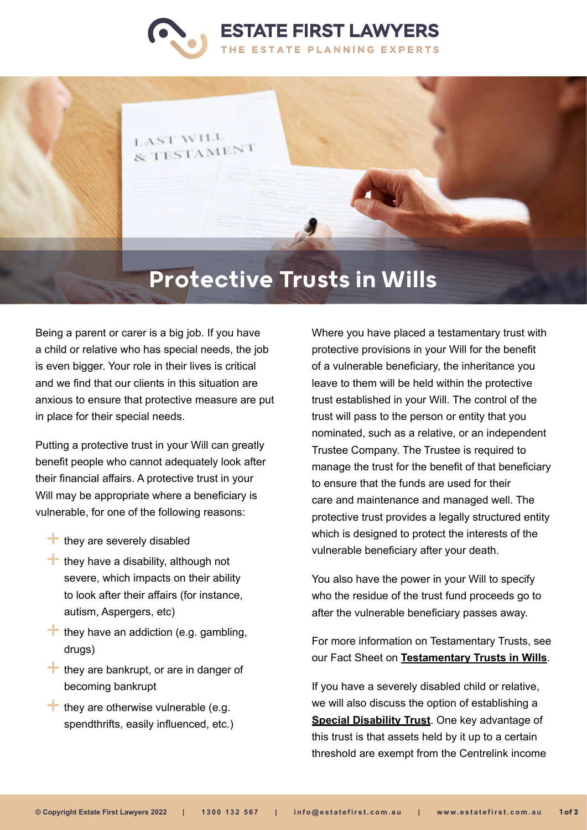



## Protective Trusts in Wills

Being a parent or carer is a big job. If you have a child or relative who has special needs, the job is even bigger. Your role in their lives is critical and we find that our clients in this situation are anxious to ensure that protective measure are put in place for their special needs.

Putting a protective trust in your Will can greatly benefit people who cannot adequately look after their financial affairs. A protective trust in your Will may be appropriate where a beneficiary is vulnerable, for one of the following reasons:

- $\pm$  they are severely disabled
- $\pm$  they have a disability, although not severe, which impacts on their ability to look after their affairs (for instance, autism, Aspergers, etc)
- $\pm$  they have an addiction (e.g. gambling, drugs)
- $\pm$  they are bankrupt, or are in danger of becoming bankrupt
- $\uparrow$  they are otherwise vulnerable (e.g. spendthrifts, easily influenced, etc.)

Where you have placed a testamentary trust with protective provisions in your Will for the benefit of a vulnerable beneficiary, the inheritance you leave to them will be held within the protective trust established in your Will. The control of the trust will pass to the person or entity that you nominated, such as a relative, or an independent Trustee Company. The Trustee is required to manage the trust for the benefit of that beneficiary to ensure that the funds are used for their care and maintenance and managed well. The protective trust provides a legally structured entity which is designed to protect the interests of the vulnerable beneficiary after your death.

You also have the power in your Will to specify who the residue of the trust fund proceeds go to after the vulnerable beneficiary passes away.

For more information on Testamentary Trusts, see our Fact Sheet on **[Testamentary Trusts in Wills](https://www.estatefirst.com.au/estate-planning/testamentary-trust-wills)**.

If you have a severely disabled child or relative, we will also discuss the option of establishing a **[Special Disability Trust](https://www.estatefirst.com.au/estate-planning/special-disability-trust)**. One key advantage of this trust is that assets held by it up to a certain threshold are exempt from the Centrelink income